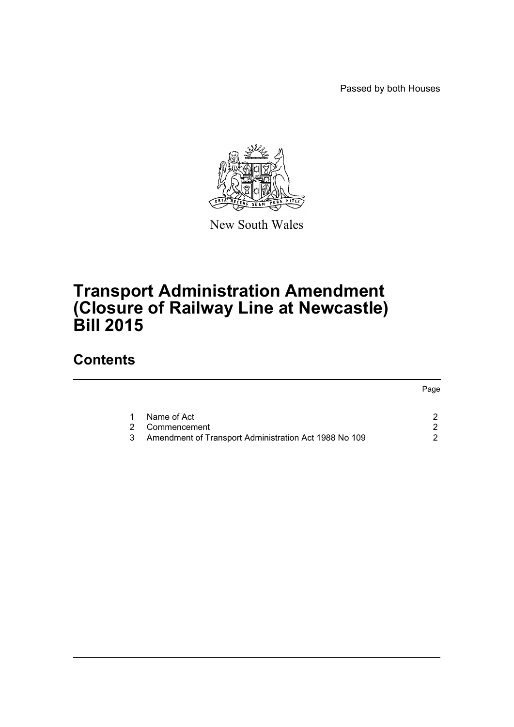Passed by both Houses



New South Wales

# **Transport Administration Amendment (Closure of Railway Line at Newcastle) Bill 2015**

# **Contents**

|   |                                                       | Page |
|---|-------------------------------------------------------|------|
|   | Name of Act                                           |      |
| 2 | Commencement                                          |      |
|   | Amendment of Transport Administration Act 1988 No 109 |      |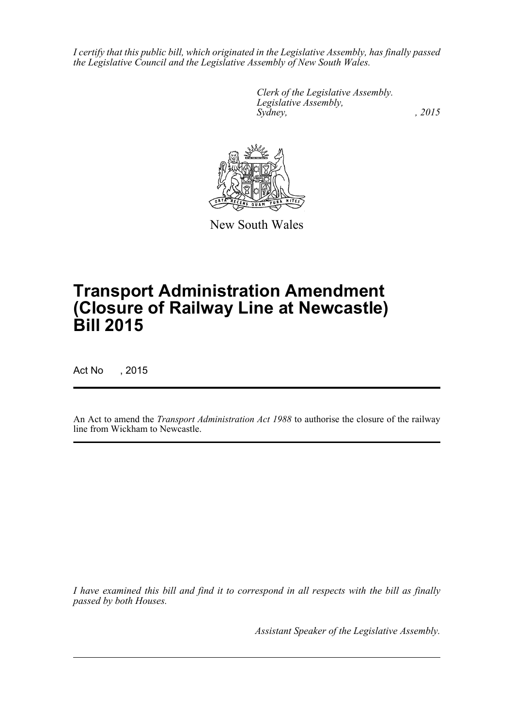*I certify that this public bill, which originated in the Legislative Assembly, has finally passed the Legislative Council and the Legislative Assembly of New South Wales.*

> *Clerk of the Legislative Assembly. Legislative Assembly, Sydney,* , 2015



New South Wales

# **Transport Administration Amendment (Closure of Railway Line at Newcastle) Bill 2015**

Act No , 2015

An Act to amend the *Transport Administration Act 1988* to authorise the closure of the railway line from Wickham to Newcastle.

*I have examined this bill and find it to correspond in all respects with the bill as finally passed by both Houses.*

*Assistant Speaker of the Legislative Assembly.*